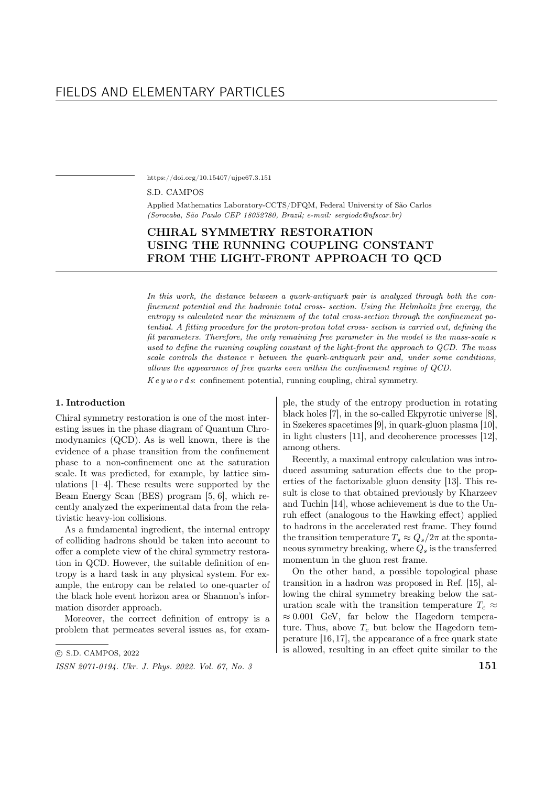https://doi.org/10.15407/ujpe67.3.151

#### S.D. CAMPOS

Applied Mathematics Laboratory-CCTS/DFQM, Federal University of São Carlos (Sorocaba, S˜ao Paulo CEP 18052780, Brazil; e-mail: sergiodc@ufscar.br)

# CHIRAL SYMMETRY RESTORATION USING THE RUNNING COUPLING CONSTANT FROM THE LIGHT-FRONT APPROACH TO QCD

In this work, the distance between a quark-antiquark pair is analyzed through both the confinement potential and the hadronic total cross- section. Using the Helmholtz free energy, the entropy is calculated near the minimum of the total cross-section through the confinement potential. A fitting procedure for the proton-proton total cross- section is carried out, defining the fit parameters. Therefore, the only remaining free parameter in the model is the mass-scale  $\kappa$ used to define the running coupling constant of the light-front the approach to QCD. The mass scale controls the distance  $r$  between the quark-antiquark pair and, under some conditions, allows the appearance of free quarks even within the confinement regime of QCD.

 $Keyword s$ : confinement potential, running coupling, chiral symmetry.

### 1. Introduction

Chiral symmetry restoration is one of the most interesting issues in the phase diagram of Quantum Chromodynamics (QCD). As is well known, there is the evidence of a phase transition from the confinement phase to a non-confinement one at the saturation scale. It was predicted, for example, by lattice simulations [1–4]. These results were supported by the Beam Energy Scan (BES) program [5, 6], which recently analyzed the experimental data from the relativistic heavy-ion collisions.

As a fundamental ingredient, the internal entropy of colliding hadrons should be taken into account to offer a complete view of the chiral symmetry restoration in QCD. However, the suitable definition of entropy is a hard task in any physical system. For example, the entropy can be related to one-quarter of the black hole event horizon area or Shannon's information disorder approach.

Moreover, the correct definition of entropy is a problem that permeates several issues as, for exam-

ple, the study of the entropy production in rotating black holes [7], in the so-called Ekpyrotic universe [8], in Szekeres spacetimes [9], in quark-gluon plasma [10], in light clusters [11], and decoherence processes [12], among others.

Recently, a maximal entropy calculation was introduced assuming saturation effects due to the properties of the factorizable gluon density [13]. This result is close to that obtained previously by Kharzeev and Tuchin [14], whose achievement is due to the Unruh effect (analogous to the Hawking effect) applied to hadrons in the accelerated rest frame. They found the transition temperature  $T_s \approx Q_s/2\pi$  at the spontaneous symmetry breaking, where  $Q_s$  is the transferred momentum in the gluon rest frame.

On the other hand, a possible topological phase transition in a hadron was proposed in Ref. [15], allowing the chiral symmetry breaking below the saturation scale with the transition temperature  $T_c \approx$  $\approx 0.001$  GeV, far below the Hagedorn temperature. Thus, above  $T_c$  but below the Hagedorn temperature [16,17], the appearance of a free quark state is allowed, resulting in an effect quite similar to the

<sup>○</sup>c S.D. CAMPOS, 2022

ISSN 2071-0194. Ukr. J. Phys. 2022. Vol. 67, No. 3  $151$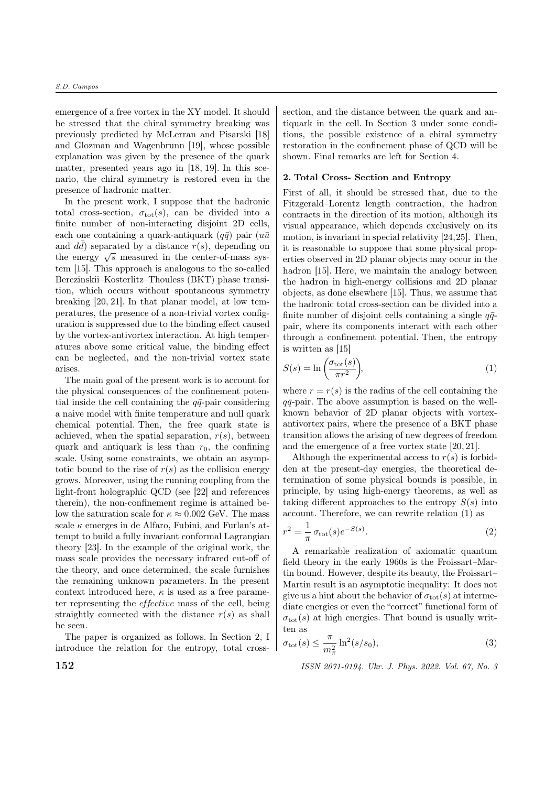emergence of a free vortex in the XY model. It should be stressed that the chiral symmetry breaking was previously predicted by McLerran and Pisarski [18] and Glozman and Wagenbrunn [19], whose possible explanation was given by the presence of the quark matter, presented years ago in [18, 19]. In this scenario, the chiral symmetry is restored even in the presence of hadronic matter.

In the present work, I suppose that the hadronic total cross-section,  $\sigma_{\text{tot}}(s)$ , can be divided into a finite number of non-interacting disjoint 2D cells, each one containing a quark-antiquark  $(q\bar{q})$  pair  $(u\bar{u})$ and  $d\bar{d}$ ) separated by a distance  $r(s)$ , depending on and *aa*) separated by a distance  $r(s)$ , depending on<br>the energy  $\sqrt{s}$  measured in the center-of-mass system [15]. This approach is analogous to the so-called Berezinskii–Kosterlitz–Thouless (BKT) phase transition, which occurs without spontaneous symmetry breaking [20, 21]. In that planar model, at low temperatures, the presence of a non-trivial vortex configuration is suppressed due to the binding effect caused by the vortex-antivortex interaction. At high temperatures above some critical value, the binding effect can be neglected, and the non-trivial vortex state arises.

The main goal of the present work is to account for the physical consequences of the confinement potential inside the cell containing the  $q\bar{q}$ -pair considering a naive model with finite temperature and null quark chemical potential. Then, the free quark state is achieved, when the spatial separation,  $r(s)$ , between quark and antiquark is less than  $r_0$ , the confining scale. Using some constraints, we obtain an asymptotic bound to the rise of  $r(s)$  as the collision energy grows. Moreover, using the running coupling from the light-front holographic QCD (see [22] and references therein), the non-confinement regime is attained below the saturation scale for  $\kappa \approx 0.002$  GeV. The mass scale  $\kappa$  emerges in de Alfaro, Fubini, and Furlan's attempt to build a fully invariant conformal Lagrangian theory [23]. In the example of the original work, the mass scale provides the necessary infrared cut-off of the theory, and once determined, the scale furnishes the remaining unknown parameters. In the present context introduced here,  $\kappa$  is used as a free parameter representing the *effective* mass of the cell, being straightly connected with the distance  $r(s)$  as shall be seen.

The paper is organized as follows. In Section 2, I introduce the relation for the entropy, total crosssection, and the distance between the quark and antiquark in the cell. In Section 3 under some conditions, the possible existence of a chiral symmetry restoration in the confinement phase of QCD will be shown. Final remarks are left for Section 4.

#### 2. Total Cross- Section and Entropy

First of all, it should be stressed that, due to the Fitzgerald–Lorentz length contraction, the hadron contracts in the direction of its motion, although its visual appearance, which depends exclusively on its motion, is invariant in special relativity [24,25]. Then, it is reasonable to suppose that some physical properties observed in 2D planar objects may occur in the hadron [15]. Here, we maintain the analogy between the hadron in high-energy collisions and 2D planar objects, as done elsewhere [15]. Thus, we assume that the hadronic total cross-section can be divided into a finite number of disjoint cells containing a single  $q\bar{q}$ pair, where its components interact with each other through a confinement potential. Then, the entropy is written as [15]

$$
S(s) = \ln\left(\frac{\sigma_{\text{tot}}(s)}{\pi r^2}\right),\tag{1}
$$

where  $r = r(s)$  is the radius of the cell containing the  $q\bar{q}$ -pair. The above assumption is based on the wellknown behavior of 2D planar objects with vortexantivortex pairs, where the presence of a BKT phase transition allows the arising of new degrees of freedom and the emergence of a free vortex state [20, 21].

Although the experimental access to  $r(s)$  is forbidden at the present-day energies, the theoretical determination of some physical bounds is possible, in principle, by using high-energy theorems, as well as taking different approaches to the entropy  $S(s)$  into account. Therefore, we can rewrite relation (1) as

$$
r^2 = \frac{1}{\pi} \sigma_{\text{tot}}(s) e^{-S(s)}.
$$
\n
$$
(2)
$$

A remarkable realization of axiomatic quantum field theory in the early 1960s is the Froissart–Martin bound. However, despite its beauty, the Froissart– Martin result is an asymptotic inequality: It does not give us a hint about the behavior of  $\sigma_{\text{tot}}(s)$  at intermediate energies or even the "correct" functional form of  $\sigma_{\text{tot}}(s)$  at high energies. That bound is usually written as

$$
\sigma_{\text{tot}}(s) \le \frac{\pi}{m_{\pi}^2} \ln^2(s/s_0),\tag{3}
$$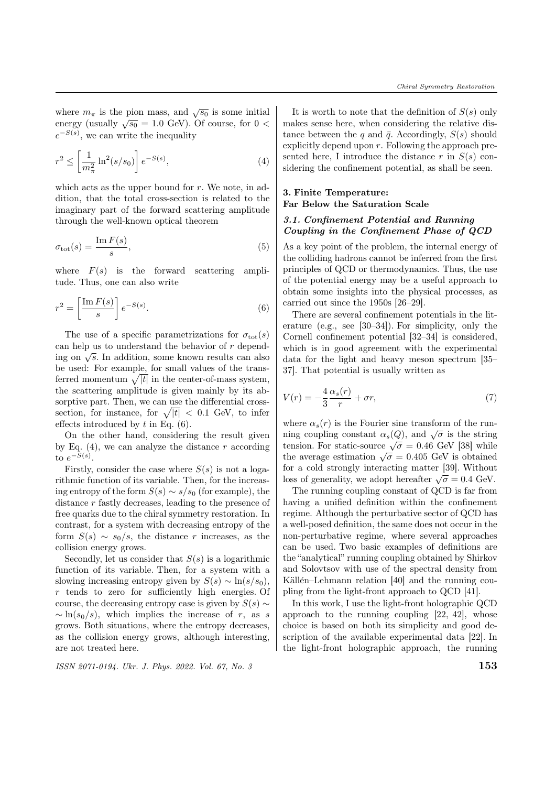where  $m_{\pi}$  is the pion mass, and  $\sqrt{s_0}$  is some initial where  $m_{\pi}$  is the pion mass, and  $\sqrt{50}$  is some initial energy (usually  $\sqrt{50} = 1.0$  GeV). Of course, for  $0 <$  $e^{-S(s)}$ , we can write the inequality

$$
r^2 \le \left[\frac{1}{m_\pi^2} \ln^2(s/s_0)\right] e^{-S(s)},\tag{4}
$$

which acts as the upper bound for  $r$ . We note, in addition, that the total cross-section is related to the imaginary part of the forward scattering amplitude through the well-known optical theorem

$$
\sigma_{\text{tot}}(s) = \frac{\text{Im}\,F(s)}{s},\tag{5}
$$

where  $F(s)$  is the forward scattering amplitude. Thus, one can also write

$$
r^2 = \left[\frac{\operatorname{Im} F(s)}{s}\right] e^{-S(s)}.\tag{6}
$$

The use of a specific parametrizations for  $\sigma_{\text{tot}}(s)$ can help us to understand the behavior of  $r$  dependcan help us to understand the behavior of  $\tau$  depending on  $\sqrt{s}$ . In addition, some known results can also be used: For example, for small values of the transferred momentum  $\sqrt{|t|}$  in the center-of-mass system, the scattering amplitude is given mainly by its absorptive part. Then, we can use the differential crosssection, for instance, for  $\sqrt{|t|} < 0.1$  GeV, to infer effects introduced by  $t$  in Eq.  $(6)$ .

On the other hand, considering the result given by Eq. (4), we can analyze the distance  $r$  according to  $e^{-S(s)}$ .

Firstly, consider the case where  $S(s)$  is not a logarithmic function of its variable. Then, for the increasing entropy of the form  $S(s) \sim s/s_0$  (for example), the distance  $r$  fastly decreases, leading to the presence of free quarks due to the chiral symmetry restoration. In contrast, for a system with decreasing entropy of the form  $S(s) \sim s_0/s$ , the distance r increases, as the collision energy grows.

Secondly, let us consider that  $S(s)$  is a logarithmic function of its variable. Then, for a system with a slowing increasing entropy given by  $S(s) \sim \ln(s/s_0)$ ,  $r$  tends to zero for sufficiently high energies. Of course, the decreasing entropy case is given by  $S(s) \sim$  $\sim \ln(s_0/s)$ , which implies the increase of r, as s grows. Both situations, where the entropy decreases, as the collision energy grows, although interesting, are not treated here.

ISSN 2071-0194. Ukr. J. Phys. 2022. Vol. 67, No. 3  $153$ 

It is worth to note that the definition of  $S(s)$  only makes sense here, when considering the relative distance between the q and  $\bar{q}$ . Accordingly,  $S(s)$  should explicitly depend upon  $r$ . Following the approach presented here, I introduce the distance  $r$  in  $S(s)$  considering the confinement potential, as shall be seen.

## 3. Finite Temperature: Far Below the Saturation Scale

### 3.1. Confinement Potential and Running Coupling in the Confinement Phase of QCD

As a key point of the problem, the internal energy of the colliding hadrons cannot be inferred from the first principles of QCD or thermodynamics. Thus, the use of the potential energy may be a useful approach to obtain some insights into the physical processes, as carried out since the 1950s [26–29].

There are several confinement potentials in the literature (e.g., see [30–34]). For simplicity, only the Cornell confinement potential [32–34] is considered, which is in good agreement with the experimental data for the light and heavy meson spectrum [35– 37]. That potential is usually written as

$$
V(r) = -\frac{4}{3}\frac{\alpha_s(r)}{r} + \sigma r,\tag{7}
$$

where  $\alpha_s(r)$  is the Fourier sine transform of the runwhere  $\alpha_s(r)$  is the routier sine transform of the run-<br>ning coupling constant  $\alpha_s(Q)$ , and  $\sqrt{\sigma}$  is the string tension. For static-source  $\sqrt{\sigma} = 0.46$  GeV [38] while the average estimation  $\sqrt{\sigma} = 0.405$  GeV is obtained for a cold strongly interacting matter [39]. Without loss of generality, we adopt hereafter  $\sqrt{\sigma} = 0.4$  GeV.

The running coupling constant of QCD is far from having a unified definition within the confinement regime. Although the perturbative sector of QCD has a well-posed definition, the same does not occur in the non-perturbative regime, where several approaches can be used. Two basic examples of definitions are the "analytical" running coupling obtained by Shirkov and Solovtsov with use of the spectral density from Källén–Lehmann relation  $[40]$  and the running coupling from the light-front approach to QCD [41].

In this work, I use the light-front holographic QCD approach to the running coupling [22, 42], whose choice is based on both its simplicity and good description of the available experimental data [22]. In the light-front holographic approach, the running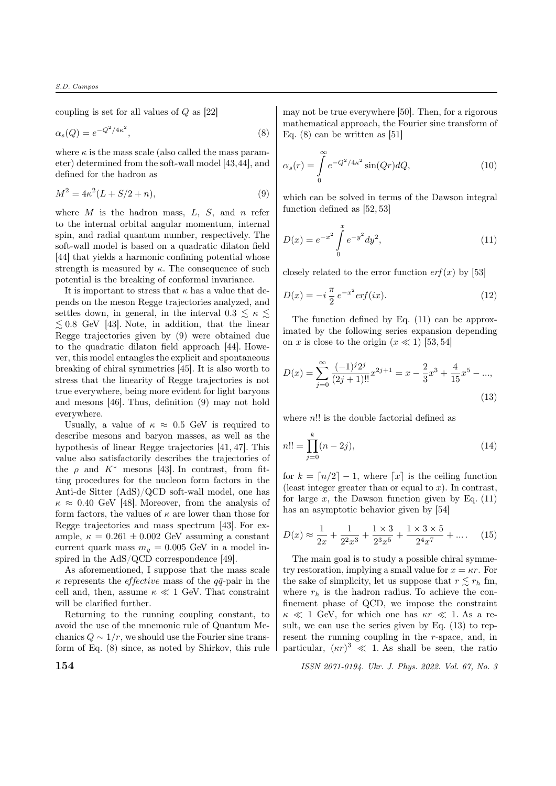coupling is set for all values of  $Q$  as  $[22]$ 

$$
\alpha_s(Q) = e^{-Q^2/4\kappa^2},\tag{8}
$$

where  $\kappa$  is the mass scale (also called the mass parameter) determined from the soft-wall model [43,44], and defined for the hadron as

$$
M^2 = 4\kappa^2 (L + S/2 + n),\tag{9}
$$

where  $M$  is the hadron mass,  $L, S$ , and  $n$  refer to the internal orbital angular momentum, internal spin, and radial quantum number, respectively. The soft-wall model is based on a quadratic dilaton field [44] that yields a harmonic confining potential whose strength is measured by  $\kappa$ . The consequence of such potential is the breaking of conformal invariance.

It is important to stress that  $\kappa$  has a value that depends on the meson Regge trajectories analyzed, and settles down, in general, in the interval  $0.3 \leq \kappa \leq$  $\lesssim 0.8$  GeV [43]. Note, in addition, that the linear Regge trajectories given by (9) were obtained due to the quadratic dilaton field approach [44]. However, this model entangles the explicit and spontaneous breaking of chiral symmetries [45]. It is also worth to stress that the linearity of Regge trajectories is not true everywhere, being more evident for light baryons and mesons [46]. Thus, definition (9) may not hold everywhere.

Usually, a value of  $\kappa \approx 0.5$  GeV is required to describe mesons and baryon masses, as well as the hypothesis of linear Regge trajectories [41, 47]. This value also satisfactorily describes the trajectories of the  $\rho$  and  $K^*$  mesons [43]. In contrast, from fitting procedures for the nucleon form factors in the Anti-de Sitter (AdS)/QCD soft-wall model, one has  $\kappa \approx 0.40$  GeV [48]. Moreover, from the analysis of form factors, the values of  $\kappa$  are lower than those for Regge trajectories and mass spectrum [43]. For example,  $\kappa = 0.261 \pm 0.002$  GeV assuming a constant current quark mass  $m_q = 0.005$  GeV in a model inspired in the AdS/QCD correspondence [49].

As aforementioned, I suppose that the mass scale  $\kappa$  represents the *effective* mass of the  $q\bar{q}$ -pair in the cell and, then, assume  $\kappa \ll 1$  GeV. That constraint will be clarified further.

Returning to the running coupling constant, to avoid the use of the mnemonic rule of Quantum Mechanics  $Q \sim 1/r$ , we should use the Fourier sine transform of Eq. (8) since, as noted by Shirkov, this rule may not be true everywhere [50]. Then, for a rigorous mathematical approach, the Fourier sine transform of Eq. (8) can be written as [51]

$$
\alpha_s(r) = \int_0^\infty e^{-Q^2/4\kappa^2} \sin(Qr) dQ,\tag{10}
$$

which can be solved in terms of the Dawson integral function defined as [52, 53]

$$
D(x) = e^{-x^2} \int_0^x e^{-y^2} dy^2,
$$
\n(11)

closely related to the error function  $erf(x)$  by [53]

$$
D(x) = -i\frac{\pi}{2}e^{-x^2}erf(ix).
$$
 (12)

The function defined by Eq. (11) can be approximated by the following series expansion depending on x is close to the origin  $(x \ll 1)$  [53, 54]

$$
D(x) = \sum_{j=0}^{\infty} \frac{(-1)^j 2^j}{(2j+1)!!} x^{2j+1} = x - \frac{2}{3}x^3 + \frac{4}{15}x^5 - \dots,
$$
\n(13)

where  $n!!$  is the double factorial defined as

$$
n!! = \prod_{j=0}^{k} (n-2j),
$$
\n(14)

for  $k = \lfloor n/2 \rfloor - 1$ , where  $\lfloor x \rfloor$  is the ceiling function (least integer greater than or equal to  $x$ ). In contrast, for large  $x$ , the Dawson function given by Eq. (11) has an asymptotic behavior given by [54]

$$
D(x) \approx \frac{1}{2x} + \frac{1}{2^2 x^3} + \frac{1 \times 3}{2^3 x^5} + \frac{1 \times 3 \times 5}{2^4 x^7} + \dots
$$
 (15)

The main goal is to study a possible chiral symmetry restoration, implying a small value for  $x = \kappa r$ . For the sake of simplicity, let us suppose that  $r \leq r_h$  fm, where  $r_h$  is the hadron radius. To achieve the confinement phase of QCD, we impose the constraint  $\kappa \ll 1$  GeV, for which one has  $\kappa r \ll 1$ . As a result, we can use the series given by Eq. (13) to represent the running coupling in the  $r$ -space, and, in particular,  $(\kappa r)^3 \ll 1$ . As shall be seen, the ratio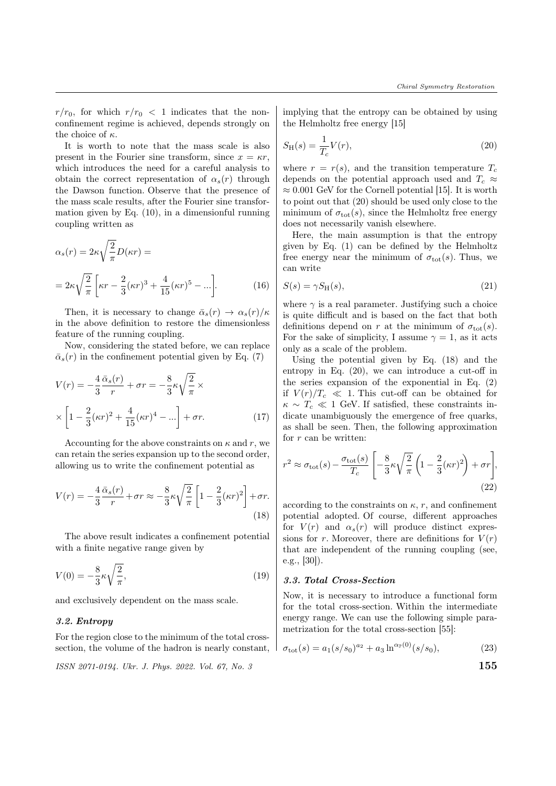$r/r_0$ , for which  $r/r_0 < 1$  indicates that the nonconfinement regime is achieved, depends strongly on the choice of  $\kappa$ .

It is worth to note that the mass scale is also present in the Fourier sine transform, since  $x = \kappa r$ , which introduces the need for a careful analysis to obtain the correct representation of  $\alpha_s(r)$  through the Dawson function. Observe that the presence of the mass scale results, after the Fourier sine transformation given by Eq. (10), in a dimensionful running coupling written as

$$
\alpha_s(r) = 2\kappa \sqrt{\frac{2}{\pi}} D(\kappa r) =
$$
  
= 
$$
2\kappa \sqrt{\frac{2}{\pi}} \left[ \kappa r - \frac{2}{3} (\kappa r)^3 + \frac{4}{15} (\kappa r)^5 - \ldots \right].
$$
 (16)

Then, it is necessary to change  $\bar{\alpha}_s(r) \rightarrow \alpha_s(r)/\kappa$ in the above definition to restore the dimensionless feature of the running coupling.

Now, considering the stated before, we can replace  $\bar{\alpha}_{s}(r)$  in the confinement potential given by Eq. (7)

$$
V(r) = -\frac{4}{3}\frac{\bar{\alpha}_s(r)}{r} + \sigma r = -\frac{8}{3}\kappa\sqrt{\frac{2}{\pi}}\times
$$

$$
\times \left[1 - \frac{2}{3}(\kappa r)^2 + \frac{4}{15}(\kappa r)^4 - \ldots\right] + \sigma r.
$$
 (17)

Accounting for the above constraints on  $\kappa$  and r, we can retain the series expansion up to the second order, allowing us to write the confinement potential as

$$
V(r) = -\frac{4}{3}\frac{\bar{\alpha}_s(r)}{r} + \sigma r \approx -\frac{8}{3}\kappa\sqrt{\frac{2}{\pi}} \left[1 - \frac{2}{3}(\kappa r)^2\right] + \sigma r.
$$
\n(18)

The above result indicates a confinement potential with a finite negative range given by

$$
V(0) = -\frac{8}{3}\kappa\sqrt{\frac{2}{\pi}},
$$
\n(19)

and exclusively dependent on the mass scale.

### 3.2. Entropy

For the region close to the minimum of the total crosssection, the volume of the hadron is nearly constant,

```
ISSN 2071-0194. Ukr. J. Phys. 2022. Vol. 67, No. 3
```
implying that the entropy can be obtained by using the Helmholtz free energy [15]

$$
S_{\mathrm{H}}(s) = \frac{1}{T_c} V(r),\tag{20}
$$

where  $r = r(s)$ , and the transition temperature  $T_c$ depends on the potential approach used and  $T_c \approx$  $\approx 0.001$  GeV for the Cornell potential [15]. It is worth to point out that (20) should be used only close to the minimum of  $\sigma_{\text{tot}}(s)$ , since the Helmholtz free energy does not necessarily vanish elsewhere.

Here, the main assumption is that the entropy given by Eq. (1) can be defined by the Helmholtz free energy near the minimum of  $\sigma_{\text{tot}}(s)$ . Thus, we can write

$$
S(s) = \gamma S_{\rm H}(s),\tag{21}
$$

where  $\gamma$  is a real parameter. Justifying such a choice is quite difficult and is based on the fact that both definitions depend on r at the minimum of  $\sigma_{\text{tot}}(s)$ . For the sake of simplicity, I assume  $\gamma = 1$ , as it acts only as a scale of the problem.

Using the potential given by Eq. (18) and the entropy in Eq. (20), we can introduce a cut-off in the series expansion of the exponential in Eq. (2) if  $V(r)/T_c \ll 1$ . This cut-off can be obtained for  $\kappa \sim T_c \ll 1$  GeV. If satisfied, these constraints indicate unambiguously the emergence of free quarks, as shall be seen. Then, the following approximation for  $r$  can be written:

$$
r^2 \approx \sigma_{\text{tot}}(s) - \frac{\sigma_{\text{tot}}(s)}{T_c} \left[ -\frac{8}{3} \kappa \sqrt{\frac{2}{\pi}} \left( 1 - \frac{2}{3} (\kappa r)^2 \right) + \sigma r \right],\tag{22}
$$

according to the constraints on  $\kappa$ , r, and confinement potential adopted. Of course, different approaches for  $V(r)$  and  $\alpha_s(r)$  will produce distinct expressions for r. Moreover, there are definitions for  $V(r)$ that are independent of the running coupling (see, e.g., [30]).

### 3.3. Total Cross-Section

Now, it is necessary to introduce a functional form for the total cross-section. Within the intermediate energy range. We can use the following simple parametrization for the total cross-section [55]:

$$
\sigma_{\text{tot}}(s) = a_1 (s/s_0)^{a_2} + a_3 \ln^{\alpha_{\mathbb{P}}(0)}(s/s_0), \tag{23}
$$

$$
155\,
$$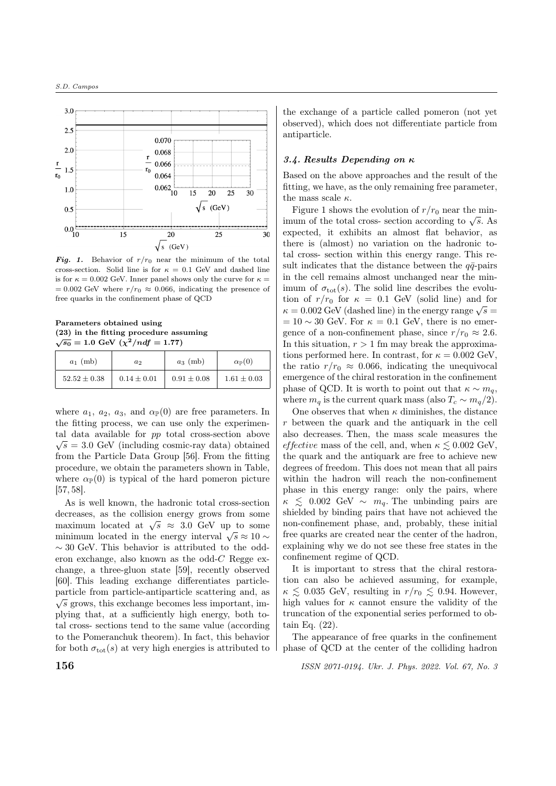

Fig. 1. Behavior of  $r/r_0$  near the minimum of the total cross-section. Solid line is for  $\kappa = 0.1$  GeV and dashed line is for  $\kappa = 0.002$  GeV. Inner panel shows only the curve for  $\kappa =$  $= 0.002$  GeV where  $r/r_0 \approx 0.066$ , indicating the presence of free quarks in the confinement phase of QCD

Parameters obtained using (23) in the fitting procedure assuming  $\sqrt{s_0} = 1.0$  GeV  $(\chi^2/ndf = 1.77)$ 

| $a_1$ (mb)       | a <sub>2</sub>  | $a_3$ (mb)      | $\alpha_{\mathbb{P}}(0)$ |
|------------------|-----------------|-----------------|--------------------------|
| $52.52 \pm 0.38$ | $0.14 \pm 0.01$ | $0.91 \pm 0.08$ | $1.61 \pm 0.03$          |

where  $a_1, a_2, a_3$ , and  $\alpha_{\mathbb{P}}(0)$  are free parameters. In the fitting process, we can use only the experimental data available for  $pp$  total cross-section above  $\sqrt{s}$  = 3.0 GeV (including cosmic-ray data) obtained from the Particle Data Group [56]. From the fitting procedure, we obtain the parameters shown in Table, where  $\alpha_{\mathbb{P}}(0)$  is typical of the hard pomeron picture [57, 58].

As is well known, the hadronic total cross-section decreases, as the collision energy grows from some decreases, as the consion energy grows from some maximum located at  $\sqrt{s} \approx 3.0$  GeV up to some maximum located at  $\sqrt{s} \approx 3.0$  GeV up to some<br>minimum located in the energy interval  $\sqrt{s} \approx 10$  ~  $\sim$  30 GeV. This behavior is attributed to the odderon exchange, also known as the odd- $C$  Regge exchange, a three-gluon state [59], recently observed [60]. This leading exchange differentiates particleparticle from particle-antiparticle scattering and, as  $\sqrt{s}$  grows, this exchange becomes less important, implying that, at a sufficiently high energy, both total cross- sections tend to the same value (according to the Pomeranchuk theorem). In fact, this behavior for both  $\sigma_{\text{tot}}(s)$  at very high energies is attributed to

the exchange of a particle called pomeron (not yet observed), which does not differentiate particle from antiparticle.

### 3.4. Results Depending on  $\kappa$

Based on the above approaches and the result of the fitting, we have, as the only remaining free parameter, the mass scale  $\kappa.$ 

Figure 1 shows the evolution of  $r/r_0$  near the min-Figure 1 shows the evolution of  $r/r_0$  hear the fini-<br>imum of the total cross- section according to  $\sqrt{s}$ . As expected, it exhibits an almost flat behavior, as there is (almost) no variation on the hadronic total cross- section within this energy range. This result indicates that the distance between the  $q\bar{q}$ -pairs in the cell remains almost unchanged near the minimum of  $\sigma_{\text{tot}}(s)$ . The solid line describes the evolution of  $r/r_0$  for  $\kappa = 0.1$  GeV (solid line) and for tion of  $r/r_0$  for  $\kappa = 0.1$  GeV (solid line) and for  $\kappa = 0.002$  GeV (dashed line) in the energy range  $\sqrt{s} =$  $= 10 \sim 30$  GeV. For  $\kappa = 0.1$  GeV, there is no emergence of a non-confinement phase, since  $r/r_0 \approx 2.6$ . In this situation,  $r > 1$  fm may break the approximations performed here. In contrast, for  $\kappa = 0.002$  GeV, the ratio  $r/r_0 \approx 0.066$ , indicating the unequivocal emergence of the chiral restoration in the confinement phase of QCD. It is worth to point out that  $\kappa \sim m_q$ , where  $m_q$  is the current quark mass (also  $T_c \sim m_q/2$ ).

One observes that when  $\kappa$  diminishes, the distance between the quark and the antiquark in the cell also decreases. Then, the mass scale measures the *effective* mass of the cell, and, when  $\kappa \leq 0.002$  GeV. the quark and the antiquark are free to achieve new degrees of freedom. This does not mean that all pairs within the hadron will reach the non-confinement phase in this energy range: only the pairs, where  $\kappa \leq 0.002$  GeV ∼  $m_q$ . The unbinding pairs are shielded by binding pairs that have not achieved the non-confinement phase, and, probably, these initial free quarks are created near the center of the hadron, explaining why we do not see these free states in the confinement regime of QCD.

It is important to stress that the chiral restoration can also be achieved assuming, for example,  $\kappa \lesssim 0.035$  GeV, resulting in  $r/r_0 \lesssim 0.94$ . However, high values for  $\kappa$  cannot ensure the validity of the truncation of the exponential series performed to obtain Eq. (22).

The appearance of free quarks in the confinement phase of QCD at the center of the colliding hadron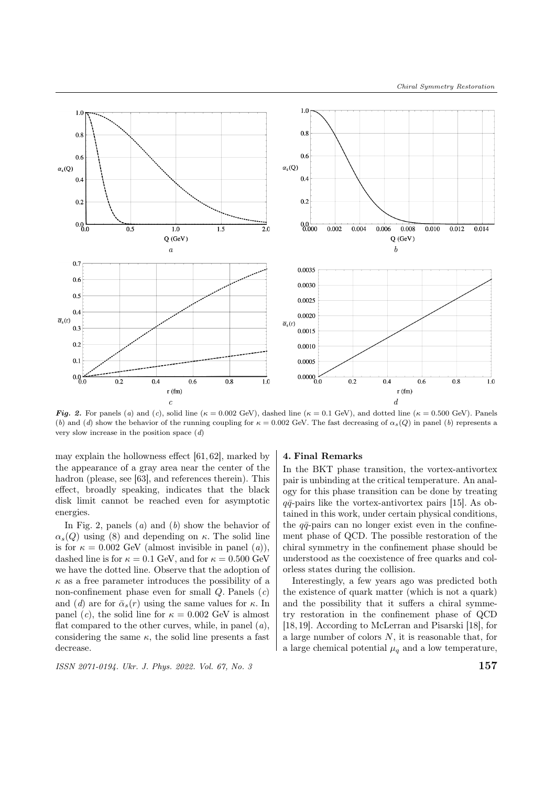

Fig. 2. For panels (a) and (c), solid line ( $\kappa = 0.002$  GeV), dashed line ( $\kappa = 0.1$  GeV), and dotted line ( $\kappa = 0.500$  GeV). Panels (b) and (d) show the behavior of the running coupling for  $\kappa = 0.002$  GeV. The fast decreasing of  $\alpha_s(Q)$  in panel (b) represents a very slow increase in the position space  $(d)$ 

may explain the hollowness effect [61, 62], marked by the appearance of a gray area near the center of the hadron (please, see [63], and references therein). This effect, broadly speaking, indicates that the black disk limit cannot be reached even for asymptotic energies.

In Fig. 2, panels  $(a)$  and  $(b)$  show the behavior of  $\alpha_s(Q)$  using (8) and depending on  $\kappa$ . The solid line is for  $\kappa = 0.002$  GeV (almost invisible in panel (*a*)), dashed line is for  $\kappa = 0.1$  GeV, and for  $\kappa = 0.500$  GeV we have the dotted line. Observe that the adoption of  $\kappa$  as a free parameter introduces the possibility of a non-confinement phase even for small  $Q$ . Panels  $(c)$ and (d) are for  $\bar{\alpha}_s(r)$  using the same values for  $\kappa$ . In panel (c), the solid line for  $\kappa = 0.002$  GeV is almost flat compared to the other curves, while, in panel  $(a)$ , considering the same  $\kappa$ , the solid line presents a fast decrease.

ISSN 2071-0194. Ukr. J. Phys. 2022. Vol. 67, No. 3  $157$ 

#### 4. Final Remarks

In the BKT phase transition, the vortex-antivortex pair is unbinding at the critical temperature. An analogy for this phase transition can be done by treating  $q\bar{q}$ -pairs like the vortex-antivortex pairs [15]. As obtained in this work, under certain physical conditions, the  $q\bar{q}$ -pairs can no longer exist even in the confinement phase of QCD. The possible restoration of the chiral symmetry in the confinement phase should be understood as the coexistence of free quarks and colorless states during the collision.

Interestingly, a few years ago was predicted both the existence of quark matter (which is not a quark) and the possibility that it suffers a chiral symmetry restoration in the confinement phase of QCD [18, 19]. According to McLerran and Pisarski [18], for a large number of colors  $N$ , it is reasonable that, for a large chemical potential  $\mu_q$  and a low temperature,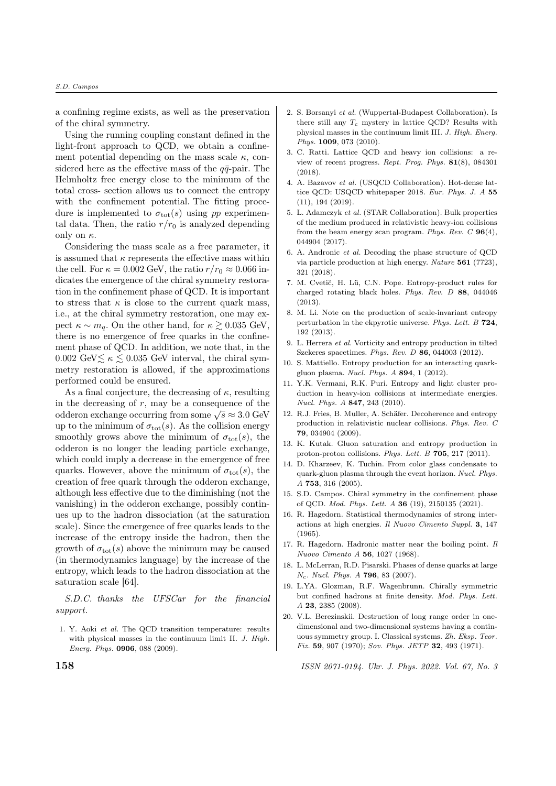#### S.D. Campos

a confining regime exists, as well as the preservation of the chiral symmetry.

Using the running coupling constant defined in the light-front approach to QCD, we obtain a confinement potential depending on the mass scale  $\kappa$ , considered here as the effective mass of the  $q\bar{q}$ -pair. The Helmholtz free energy close to the minimum of the total cross- section allows us to connect the entropy with the confinement potential. The fitting procedure is implemented to  $\sigma_{\text{tot}}(s)$  using  $pp$  experimental data. Then, the ratio  $r/r_0$  is analyzed depending only on  $\kappa$ .

Considering the mass scale as a free parameter, it is assumed that  $\kappa$  represents the effective mass within the cell. For  $\kappa = 0.002$  GeV, the ratio  $r/r_0 \approx 0.066$  indicates the emergence of the chiral symmetry restoration in the confinement phase of QCD. It is important to stress that  $\kappa$  is close to the current quark mass, i.e., at the chiral symmetry restoration, one may expect  $\kappa \sim m_q$ . On the other hand, for  $\kappa \gtrsim 0.035$  GeV, there is no emergence of free quarks in the confinement phase of QCD. In addition, we note that, in the 0.002 GeV $\lesssim \kappa \lesssim 0.035$  GeV interval, the chiral symmetry restoration is allowed, if the approximations performed could be ensured.

As a final conjecture, the decreasing of  $\kappa$ , resulting in the decreasing of  $r$ , may be a consequence of the In the decreasing or r, may be a consequence of the odderon exchange occurring from some  $\sqrt{s} \approx 3.0$  GeV up to the minimum of  $\sigma_{\text{tot}}(s)$ . As the collision energy smoothly grows above the minimum of  $\sigma_{\text{tot}}(s)$ , the odderon is no longer the leading particle exchange, which could imply a decrease in the emergence of free quarks. However, above the minimum of  $\sigma_{\text{tot}}(s)$ , the creation of free quark through the odderon exchange, although less effective due to the diminishing (not the vanishing) in the odderon exchange, possibly continues up to the hadron dissociation (at the saturation scale). Since the emergence of free quarks leads to the increase of the entropy inside the hadron, then the growth of  $\sigma_{\text{tot}}(s)$  above the minimum may be caused (in thermodynamics language) by the increase of the entropy, which leads to the hadron dissociation at the saturation scale [64].

S.D.C. thanks the UFSCar for the financial support.

1. Y. Aoki et al. The QCD transition temperature: results with physical masses in the continuum limit II. J. High. Energ. Phys. 0906, 088 (2009).

- 2. S. Borsanyi et al. (Wuppertal-Budapest Collaboration). Is there still any  $T_c$  mystery in lattice QCD? Results with physical masses in the continuum limit III. J. High. Energ. Phys. 1009, 073 (2010).
- 3. C. Ratti. Lattice QCD and heavy ion collisions: a review of recent progress. Rept. Prog. Phys. 81(8), 084301 (2018).
- 4. A. Bazavov et al. (USQCD Collaboration). Hot-dense lattice OCD: USQCD whitepaper 2018. Eur. Phys. J. A 55 (11), 194 (2019).
- 5. L. Adamczyk et al. (STAR Collaboration). Bulk properties of the medium produced in relativistic heavy-ion collisions from the beam energy scan program. Phys. Rev.  $C$  96(4), 044904 (2017).
- 6. A. Andronic et al. Decoding the phase structure of QCD via particle production at high energy. Nature 561 (7723), 321 (2018).
- 7. M. Cvetič, H. Lü, C.N. Pope. Entropy-product rules for charged rotating black holes. Phys. Rev. D 88, 044046 (2013).
- 8. M. Li. Note on the production of scale-invariant entropy perturbation in the ekpyrotic universe. Phys. Lett. B 724, 192 (2013).
- 9. L. Herrera et al. Vorticity and entropy production in tilted Szekeres spacetimes. Phys. Rev. D 86, 044003 (2012).
- 10. S. Mattiello. Entropy production for an interacting quarkgluon plasma. Nucl. Phys. A 894, 1 (2012).
- 11. Y.K. Vermani, R.K. Puri. Entropy and light cluster production in heavy-ion collisions at intermediate energies. Nucl. Phys. A 847, 243 (2010).
- 12. R.J. Fries, B. Muller, A. Schäfer. Decoherence and entropy production in relativistic nuclear collisions. Phys. Rev. C 79, 034904 (2009).
- 13. K. Kutak. Gluon saturation and entropy production in proton-proton collisions. Phys. Lett. B 705, 217 (2011).
- 14. D. Kharzeev, K. Tuchin. From color glass condensate to quark-gluon plasma through the event horizon. Nucl. Phys. A 753, 316 (2005).
- 15. S.D. Campos. Chiral symmetry in the confinement phase of QCD. Mod. Phys. Lett. A 36 (19), 2150135 (2021).
- 16. R. Hagedorn. Statistical thermodynamics of strong interactions at high energies. Il Nuovo Cimento Suppl. 3, 147 (1965).
- 17. R. Hagedorn. Hadronic matter near the boiling point. Il Nuovo Cimento A 56, 1027 (1968).
- 18. L. McLerran, R.D. Pisarski. Phases of dense quarks at large . Nucl. Phys. A 796, 83 (2007).
- 19. L.YA. Glozman, R.F. Wagenbrunn. Chirally symmetric but confined hadrons at finite density. Mod. Phys. Lett. A 23, 2385 (2008).
- 20. V.L. Berezinskii. Destruction of long range order in onedimensional and two-dimensional systems having a continuous symmetry group. I. Classical systems. Zh. Eksp. Teor. Fiz. 59, 907 (1970); Sov. Phys. JETP 32, 493 (1971).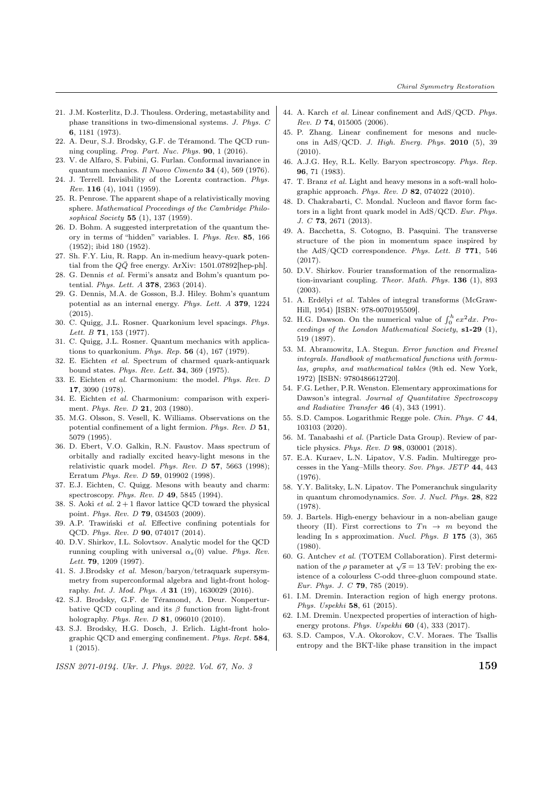- 21. J.M. Kosterlitz, D.J. Thouless. Ordering, metastability and phase transitions in two-dimensional systems. J. Phys. C 6, 1181 (1973).
- 22. A. Deur, S.J. Brodsky, G.F. de Téramond. The QCD running coupling. Prog. Part. Nuc. Phys. 90, 1 (2016).
- 23. V. de Alfaro, S. Fubini, G. Furlan. Conformal invariance in quantum mechanics. Il Nuovo Cimento 34 (4), 569 (1976).
- 24. J. Terrell. Invisibility of the Lorentz contraction. Phys. Rev. 116 (4), 1041 (1959).
- 25. R. Penrose. The apparent shape of a relativistically moving sphere. Mathematical Proceedings of the Cambridge Philosophical Society 55 (1), 137 (1959).
- 26. D. Bohm. A suggested interpretation of the quantum theory in terms of "hidden" variables. I. Phys. Rev. 85, 166 (1952); ibid 180 (1952).
- 27. Sh. F.Y. Liu, R. Rapp. An in-medium heavy-quark potential from the  $Q\bar{Q}$  free energy. ArXiv: 1501.07892[hep-ph].
- 28. G. Dennis et al. Fermi's ansatz and Bohm's quantum potential. Phys. Lett. A 378, 2363 (2014).
- 29. G. Dennis, M.A. de Gosson, B.J. Hiley. Bohm's quantum potential as an internal energy. Phys. Lett. A 379, 1224 (2015).
- 30. C. Quigg, J.L. Rosner. Quarkonium level spacings. Phys. Lett. B **71**, 153 (1977).
- 31. C. Quigg, J.L. Rosner. Quantum mechanics with applications to quarkonium. Phys. Rep. 56 (4), 167 (1979).
- 32. E. Eichten et al. Spectrum of charmed quark-antiquark bound states. Phys. Rev. Lett. 34, 369 (1975).
- 33. E. Eichten et al. Charmonium: the model. Phys. Rev. D 17, 3090 (1978).
- 34. E. Eichten et al. Charmonium: comparison with experiment. Phys. Rev. D 21, 203 (1980).
- 35. M.G. Olsson, S. Vesell, K. Williams. Observations on the potential confinement of a light fermion. Phys. Rev. D 51, 5079 (1995).
- 36. D. Ebert, V.O. Galkin, R.N. Faustov. Mass spectrum of orbitally and radially excited heavy-light mesons in the relativistic quark model. Phys. Rev. D 57, 5663 (1998); Erratum Phys. Rev. D 59, 019902 (1998).
- 37. E.J. Eichten, C. Quigg. Mesons with beauty and charm: spectroscopy. Phys. Rev. D 49, 5845 (1994).
- 38. S. Aoki *et al.*  $2 + 1$  flavor lattice QCD toward the physical point. Phys. Rev. D 79, 034503 (2009).
- 39. A.P. Trawinski  $et$  al. Effective confining potentials for QCD. Phys. Rev. D 90, 074017 (2014).
- 40. D.V. Shirkov, I.L. Solovtsov. Analytic model for the QCD running coupling with universal  $\alpha_s(0)$  value. Phys. Rev. Lett. 79, 1209 (1997).
- 41. S. J.Brodsky et al. Meson/baryon/tetraquark supersymmetry from superconformal algebra and light-front holography. Int. J. Mod. Phys. A 31 (19), 1630029 (2016).
- 42. S.J. Brodsky, G.F. de Téramond, A. Deur. Nonperturbative QCD coupling and its  $\beta$  function from light-front holography. *Phys. Rev. D* **81**, 096010 (2010).
- 43. S.J. Brodsky, H.G. Dosch, J. Erlich. Light-front holographic QCD and emerging confinement. Phys. Rept. 584, 1 (2015).
- $\frac{15}{15}$  ISSN 2071-0194. Ukr. J. Phys. 2022. Vol. 67, No. 3
- 44. A. Karch et al. Linear confinement and AdS/QCD. Phys. Rev. D 74, 015005 (2006).
- 45. P. Zhang. Linear confinement for mesons and nucleons in AdS/QCD. J. High. Energ. Phys. 2010 (5), 39 (2010).
- 46. A.J.G. Hey, R.L. Kelly. Baryon spectroscopy. Phys. Rep. 96, 71 (1983).
- 47. T. Branz et al. Light and heavy mesons in a soft-wall holographic approach. Phys. Rev. D  $82$ , 074022 (2010).
- 48. D. Chakrabarti, C. Mondal. Nucleon and flavor form factors in a light front quark model in AdS/QCD. Eur. Phys.  $J. C$  **73.** 2671 (2013).
- 49. A. Bacchetta, S. Cotogno, B. Pasquini. The transverse structure of the pion in momentum space inspired by the AdS/QCD correspondence. Phys. Lett. B 771, 546 (2017).
- 50. D.V. Shirkov. Fourier transformation of the renormalization-invariant coupling. Theor. Math. Phys. 136 (1), 893 (2003).
- 51. A. Erdélyi et al. Tables of integral transforms (McGraw-Hill, 1954) [ISBN: 978-0070195509].
- 52. H.G. Dawson. On the numerical value of  $\int_0^h e x^2 dx$ . Proceedings of the London Mathematical Society, s1-29 (1), 519 (1897).
- 53. M. Abramowitz, I.A. Stegun. Error function and Fresnel integrals. Handbook of mathematical functions with formulas, graphs, and mathematical tables (9th ed. New York, 1972) [ISBN: 9780486612720].
- 54. F.G. Lether, P.R. Wenston. Elementary approximations for Dawson's integral. Journal of Quantitative Spectroscopy and Radiative Transfer 46 (4), 343 (1991).
- 55. S.D. Campos. Logarithmic Regge pole. Chin. Phys. C 44, 103103 (2020).
- 56. M. Tanabashi et al. (Particle Data Group). Review of particle physics. Phys. Rev. D 98, 030001 (2018).
- 57. E.A. Kuraev, L.N. Lipatov, V.S. Fadin. Multiregge processes in the Yang–Mills theory. Sov. Phys. JETP 44, 443 (1976).
- 58. Y.Y. Balitsky, L.N. Lipatov. The Pomeranchuk singularity in quantum chromodynamics. Sov. J. Nucl. Phys. 28, 822 (1978).
- 59. J. Bartels. High-energy behaviour in a non-abelian gauge theory (II). First corrections to  $T_n \to m$  beyond the leading In s approximation. Nucl. Phys. B 175 (3), 365 (1980).
- 60. G. Antchev et al. (TOTEM Collaboration). First determination of the  $\rho$  parameter at  $\sqrt{s} = 13$  TeV: probing the existence of a colourless C-odd three-gluon compound state. Eur. Phys. J. C **79**, 785 (2019).
- 61. I.M. Dremin. Interaction region of high energy protons. Phys. Uspekhi 58, 61 (2015).
- 62. I.M. Dremin. Unexpected properties of interaction of highenergy protons. Phys. Uspekhi 60 (4), 333 (2017).
- 63. S.D. Campos, V.A. Okorokov, C.V. Moraes. The Tsallis entropy and the BKT-like phase transition in the impact